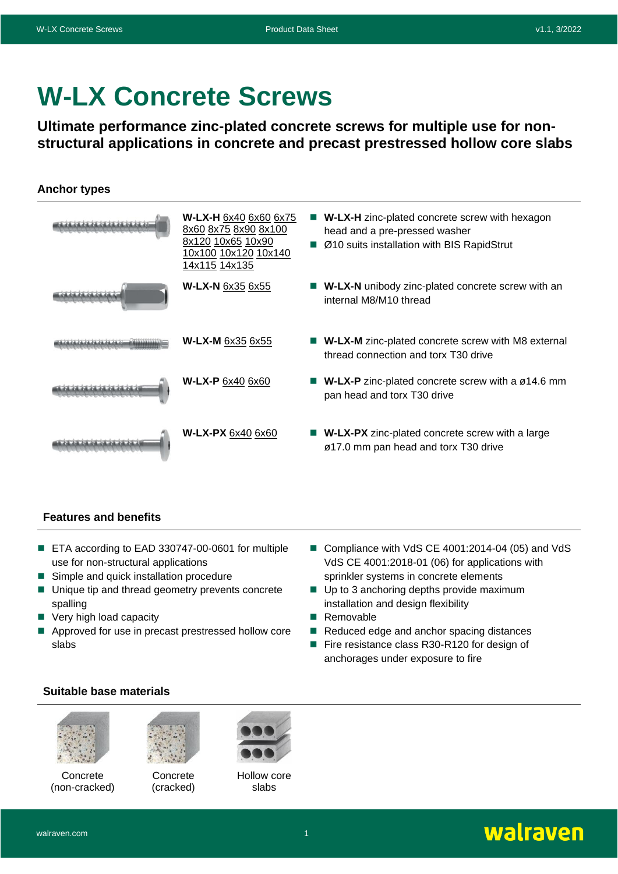# **W-LX Concrete Screws**

**Ultimate performance zinc-plated concrete screws for multiple use for nonstructural applications in concrete and precast prestressed hollow core slabs**

## **Anchor types**



### **Features and benefits**

- ETA according to EAD 330747-00-0601 for multiple use for non-structural applications
- Simple and quick installation procedure
- Unique tip and thread geometry prevents concrete spalling
- Very high load capacity
- Approved for use in precast prestressed hollow core slabs
- Compliance with VdS CE 4001:2014-04 (05) and VdS VdS CE 4001:2018-01 (06) for applications with sprinkler systems in concrete elements
- Up to 3 anchoring depths provide maximum installation and design flexibility
- Removable
- Reduced edge and anchor spacing distances
- Fire resistance class R30-R120 for design of anchorages under exposure to fire

### **Suitable base materials**



Concrete (non-cracked)



Concrete (cracked)



Hollow core slabs

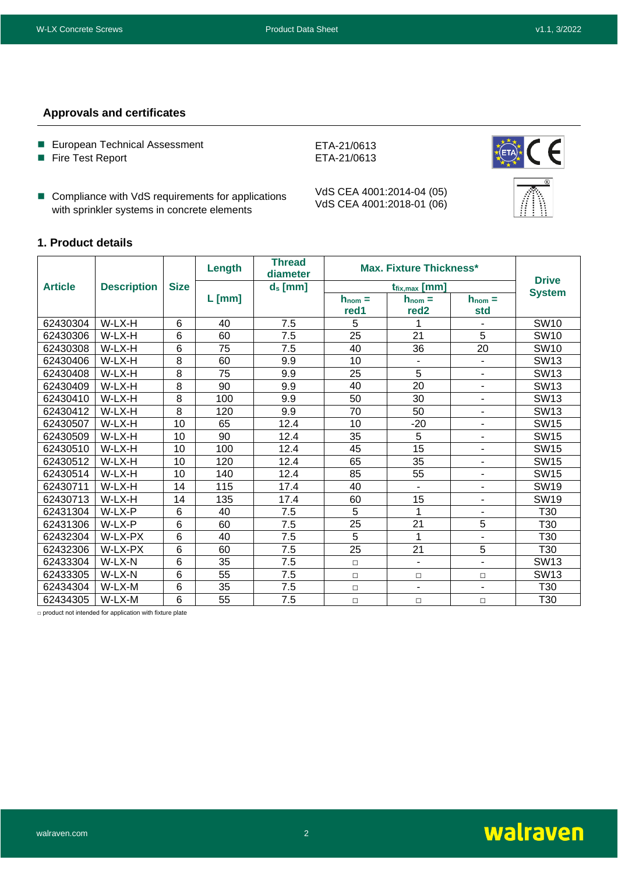### **Approvals and certificates**

- European Technical Assessment
- Fire Test Report
- Compliance with VdS requirements for applications with sprinkler systems in concrete elements

VdS CEA 4001:2014-04 (05) VdS CEA 4001:2018-01 (06)

ETA-21/0613 ETA-21/0613



### **1. Product details**

|                |                    |                 | Length          | <b>Thread</b><br>diameter | Max. Fixture Thickness* | <b>Drive</b>                                          |                          |                  |  |
|----------------|--------------------|-----------------|-----------------|---------------------------|-------------------------|-------------------------------------------------------|--------------------------|------------------|--|
| <b>Article</b> | <b>Description</b> | <b>Size</b>     |                 | $d_s$ [mm]                |                         | $t_{fix,max}$ [mm]                                    |                          | <b>System</b>    |  |
|                |                    |                 | $L$ [mm]        |                           | $h_{nom} =$<br>red1     | $h_{nom} =$<br>$h_{nom} =$<br>red <sub>2</sub><br>std |                          |                  |  |
| 62430304       | W-LX-H             | 6               | 40              | 7.5                       | 5                       | 1                                                     |                          | <b>SW10</b>      |  |
| 62430306       | W-LX-H             | $6\phantom{1}6$ | 60              | 7.5                       | 25                      | 21                                                    | 5                        | <b>SW10</b>      |  |
| 62430308       | W-LX-H             | $6\phantom{1}6$ | 75              | 7.5                       | 40                      | 36                                                    | 20                       | SW <sub>10</sub> |  |
| 62430406       | W-LX-H             | 8               | 60              | 9.9                       | 10                      | $\overline{\phantom{a}}$                              | $\blacksquare$           | <b>SW13</b>      |  |
| 62430408       | W-LX-H             | $\overline{8}$  | $\overline{75}$ | 9.9                       | 25                      | 5                                                     | ٠                        | <b>SW13</b>      |  |
| 62430409       | W-LX-H             | 8               | 90              | 9.9                       | 40                      | 20                                                    | ٠                        | <b>SW13</b>      |  |
| 62430410       | W-LX-H             | 8               | 100             | 9.9                       | 50                      | 30                                                    | ÷,                       | <b>SW13</b>      |  |
| 62430412       | W-LX-H             | $\overline{8}$  | 120             | 9.9                       | 70                      | 50                                                    | ۰                        | <b>SW13</b>      |  |
| 62430507       | W-LX-H             | 10              | 65              | 12.4                      | 10                      | $-20$                                                 | ٠                        | <b>SW15</b>      |  |
| 62430509       | W-LX-H             | 10              | 90              | 12.4                      | 35                      | 5                                                     | ۰                        | <b>SW15</b>      |  |
| 62430510       | W-LX-H             | 10              | 100             | 12.4                      | 45                      | 15                                                    | -                        | <b>SW15</b>      |  |
| 62430512       | W-LX-H             | 10              | 120             | 12.4                      | 65                      | 35                                                    | $\blacksquare$           | <b>SW15</b>      |  |
| 62430514       | W-LX-H             | 10              | 140             | 12.4                      | 85                      | 55                                                    | -                        | <b>SW15</b>      |  |
| 62430711       | W-LX-H             | 14              | 115             | 17.4                      | 40                      | $\blacksquare$                                        | -                        | SW <sub>19</sub> |  |
| 62430713       | W-LX-H             | 14              | 135             | 17.4                      | 60                      | 15                                                    | ٠                        | <b>SW19</b>      |  |
| 62431304       | W-LX-P             | 6               | 40              | 7.5                       | 5                       | 1                                                     | ۰                        | T30              |  |
| 62431306       | W-LX-P             | $6\phantom{1}6$ | 60              | 7.5                       | 25                      | 21                                                    | 5                        | T30              |  |
| 62432304       | W-LX-PX            | 6               | 40              | 7.5                       | 5                       | 1                                                     | ۰                        | T30              |  |
| 62432306       | W-LX-PX            | 6               | 60              | 7.5                       | 25                      | 21                                                    | 5                        | T30              |  |
| 62433304       | W-LX-N             | $6\phantom{1}6$ | 35              | 7.5                       | $\Box$                  | $\overline{\phantom{a}}$                              | ÷,                       | <b>SW13</b>      |  |
| 62433305       | W-LX-N             | $6\phantom{1}6$ | 55              | 7.5                       | $\Box$                  | $\Box$                                                | $\Box$                   | <b>SW13</b>      |  |
| 62434304       | W-LX-M             | $6\phantom{1}6$ | 35              | 7.5                       | $\Box$                  | $\overline{\phantom{a}}$                              | $\overline{\phantom{a}}$ | T30              |  |
| 62434305       | W-LX-M             | 6               | 55              | 7.5                       | $\Box$                  | $\Box$                                                | $\Box$                   | T30              |  |

□ product not intended for application with fixture plate

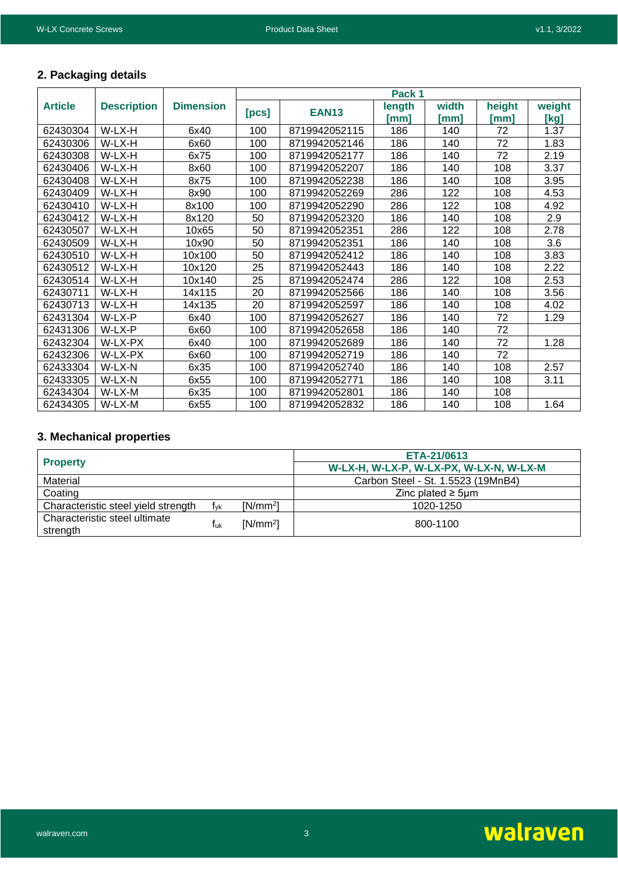## **2. Packaging details**

|                |                    |                  | Pack 1 |               |        |       |        |        |  |  |  |  |
|----------------|--------------------|------------------|--------|---------------|--------|-------|--------|--------|--|--|--|--|
| <b>Article</b> | <b>Description</b> | <b>Dimension</b> | [pcs]  | <b>EAN13</b>  | length | width | height | weight |  |  |  |  |
|                |                    |                  |        |               | [mm]   | [mm]  | [mm]   | [kg]   |  |  |  |  |
| 62430304       | W-LX-H             | 6x40             | 100    | 8719942052115 | 186    | 140   | 72     | 1.37   |  |  |  |  |
| 62430306       | W-LX-H             | 6x60             | 100    | 8719942052146 | 186    | 140   | 72     | 1.83   |  |  |  |  |
| 62430308       | W-LX-H             | 6x75             | 100    | 8719942052177 | 186    | 140   | 72     | 2.19   |  |  |  |  |
| 62430406       | W-LX-H             | 8x60             | 100    | 8719942052207 | 186    | 140   | 108    | 3.37   |  |  |  |  |
| 62430408       | W-LX-H             | 8x75             | 100    | 8719942052238 | 186    | 140   | 108    | 3.95   |  |  |  |  |
| 62430409       | W-LX-H             | 8x90             | 100    | 8719942052269 | 286    | 122   | 108    | 4.53   |  |  |  |  |
| 62430410       | W-LX-H             | 8x100            | 100    | 8719942052290 | 286    | 122   | 108    | 4.92   |  |  |  |  |
| 62430412       | W-LX-H             | 8x120            | 50     | 8719942052320 | 186    | 140   | 108    | 2.9    |  |  |  |  |
| 62430507       | W-LX-H             | 10x65            | 50     | 8719942052351 | 286    | 122   | 108    | 2.78   |  |  |  |  |
| 62430509       | W-LX-H             | 10x90            | 50     | 8719942052351 | 186    | 140   | 108    | 3.6    |  |  |  |  |
| 62430510       | W-LX-H             | 10x100           | 50     | 8719942052412 | 186    | 140   | 108    | 3.83   |  |  |  |  |
| 62430512       | W-LX-H             | 10x120           | 25     | 8719942052443 | 186    | 140   | 108    | 2.22   |  |  |  |  |
| 62430514       | W-LX-H             | 10x140           | 25     | 8719942052474 | 286    | 122   | 108    | 2.53   |  |  |  |  |
| 62430711       | W-LX-H             | 14x115           | 20     | 8719942052566 | 186    | 140   | 108    | 3.56   |  |  |  |  |
| 62430713       | W-LX-H             | 14x135           | 20     | 8719942052597 | 186    | 140   | 108    | 4.02   |  |  |  |  |
| 62431304       | W-LX-P             | 6x40             | 100    | 8719942052627 | 186    | 140   | 72     | 1.29   |  |  |  |  |
| 62431306       | W-LX-P             | 6x60             | 100    | 8719942052658 | 186    | 140   | 72     |        |  |  |  |  |
| 62432304       | W-LX-PX            | 6x40             | 100    | 8719942052689 | 186    | 140   | 72     | 1.28   |  |  |  |  |
| 62432306       | W-LX-PX            | 6x60             | 100    | 8719942052719 | 186    | 140   | 72     |        |  |  |  |  |
| 62433304       | W-LX-N             | 6x35             | 100    | 8719942052740 | 186    | 140   | 108    | 2.57   |  |  |  |  |
| 62433305       | W-LX-N             | 6x55             | 100    | 8719942052771 | 186    | 140   | 108    | 3.11   |  |  |  |  |
| 62434304       | W-LX-M             | 6x35             | 100    | 8719942052801 | 186    | 140   | 108    |        |  |  |  |  |
| 62434305       | W-LX-M             | 6x55             | 100    | 8719942052832 | 186    | 140   | 108    | 1.64   |  |  |  |  |

## **3. Mechanical properties**

|                                           |     |            | ETA-21/0613                             |  |  |  |  |  |
|-------------------------------------------|-----|------------|-----------------------------------------|--|--|--|--|--|
| <b>Property</b>                           |     |            | W-LX-H, W-LX-P, W-LX-PX, W-LX-N, W-LX-M |  |  |  |  |  |
| Material                                  |     |            | Carbon Steel - St. 1.5523 (19MnB4)      |  |  |  |  |  |
| Coating                                   |     |            | Zinc plated $\geq$ 5um                  |  |  |  |  |  |
| Characteristic steel yield strength       | fvk | $[N/mm^2]$ | 1020-1250                               |  |  |  |  |  |
| Characteristic steel ultimate<br>strength | Tuk | $[N/mm^2]$ | 800-1100                                |  |  |  |  |  |

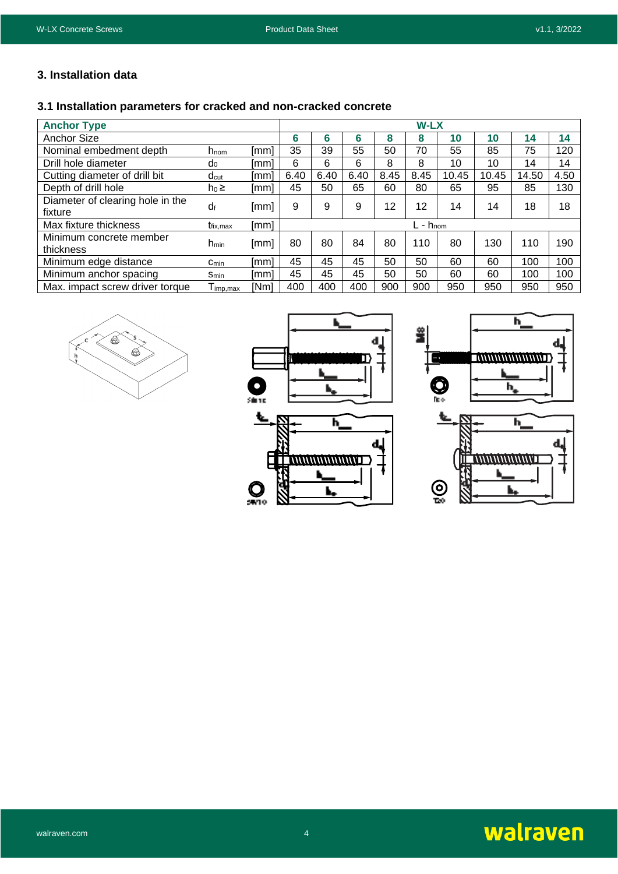### **3. Installation data**

## **3.1 Installation parameters for cracked and non-cracked concrete**

| <b>Anchor Type</b>                          |                                          |      | <b>W-LX</b> |      |      |      |                        |       |       |       |      |
|---------------------------------------------|------------------------------------------|------|-------------|------|------|------|------------------------|-------|-------|-------|------|
| Anchor Size                                 |                                          |      | 6           | 6    | 6    | 8    | 8                      | 10    | 10    | 14    | 14   |
| Nominal embedment depth                     | $h_{\text{nom}}$                         | [mm] | 35          | 39   | 55   | 50   | 70                     | 55    | 85    | 75    | 120  |
| Drill hole diameter                         | $d_0$                                    | [mm] | 6           | 6    | 6    | 8    | 8                      | 10    | 10    | 14    | 14   |
| Cutting diameter of drill bit               | $d_{\text{cut}}$                         | [mm] | 6.40        | 6.40 | 6.40 | 8.45 | 8.45                   | 10.45 | 10.45 | 14.50 | 4.50 |
| Depth of drill hole                         | $h_0 \geq$                               | [mm] | 45          | 50   | 65   | 60   | 80                     | 65    | 95    | 85    | 130  |
| Diameter of clearing hole in the<br>fixture | df                                       | [mm] | 9           | 9    | 9    | 12   | 12                     | 14    | 14    | 18    | 18   |
| Max fixture thickness                       | t <sub>fix.max</sub>                     | [mm] |             |      |      |      | $L$ - $h_{\text{nom}}$ |       |       |       |      |
| Minimum concrete member<br>thickness        | n <sub>min</sub>                         | [mm] | 80          | 80   | 84   | 80   | 110                    | 80    | 130   | 110   | 190  |
| Minimum edge distance                       | $C_{min}$                                | [mm] | 45          | 45   | 45   | 50   | 50                     | 60    | 60    | 100   | 100  |
| Minimum anchor spacing                      | <b>Smin</b>                              | lmml | 45          | 45   | 45   | 50   | 50                     | 60    | 60    | 100   | 100  |
| Max. impact screw driver torque             | $\mathsf{T}_{\mathsf{imp}.\mathsf{max}}$ | [Nm] | 400         | 400  | 400  | 900  | 900                    | 950   | 950   | 950   | 950  |







ŝ



## walraven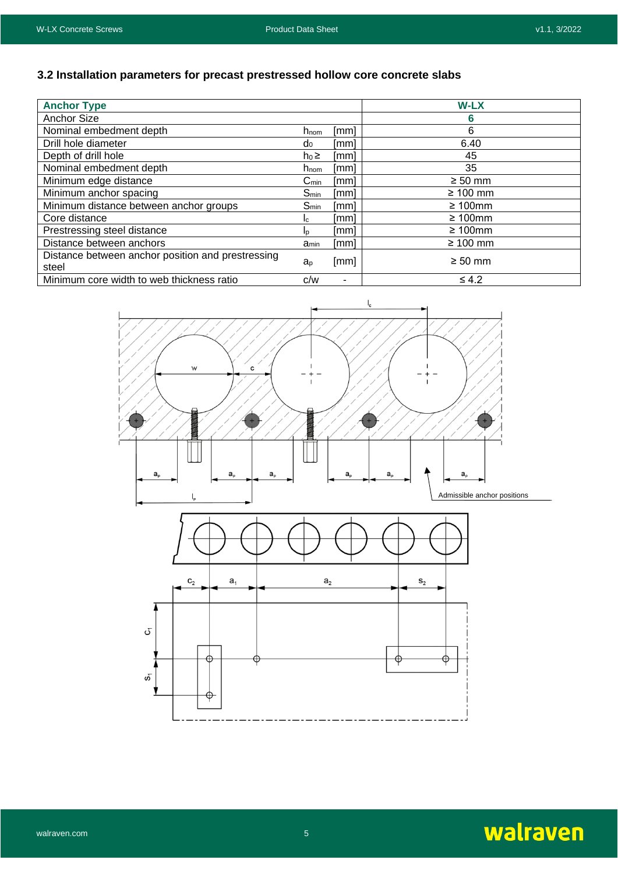## **3.2 Installation parameters for precast prestressed hollow core concrete slabs**

| <b>Anchor Type</b>                                         |                             |      | <b>W-LX</b>   |
|------------------------------------------------------------|-----------------------------|------|---------------|
| <b>Anchor Size</b>                                         |                             |      | 6             |
| Nominal embedment depth                                    | $h_{\text{nom}}$            | [mm] | 6             |
| Drill hole diameter                                        | $d_0$                       | [mm] | 6.40          |
| Depth of drill hole                                        | $h_0 \geq$                  | [mm] | 45            |
| Nominal embedment depth                                    | h <sub>nom</sub>            | [mm] | 35            |
| Minimum edge distance                                      | $\mathsf{C}_{\mathsf{min}}$ | [mm] | $\geq 50$ mm  |
| Minimum anchor spacing                                     | $S_{min}$                   | [mm] | $\geq 100$ mm |
| Minimum distance between anchor groups                     | $S_{min}$                   | [mm] | $\geq 100$ mm |
| Core distance                                              | Ic.                         | [mm] | $\geq 100$ mm |
| Prestressing steel distance                                | In                          | [mm] | $\geq 100$ mm |
| Distance between anchors                                   | amin                        | [mm] | $\geq 100$ mm |
| Distance between anchor position and prestressing<br>steel | a <sub>p</sub>              | [mm] | $\geq 50$ mm  |
| Minimum core width to web thickness ratio                  | C/W                         | ۰    | $\leq 4.2$    |



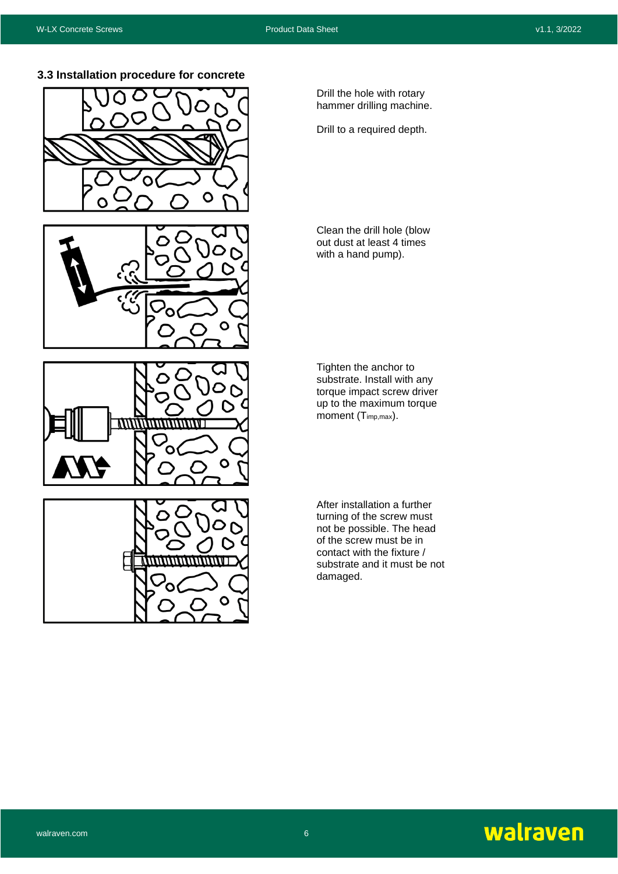**3.3 Installation procedure for concrete**









Drill the hole with rotary hammer drilling machine.

Drill to a required depth.

Clean the drill hole (blow out dust at least 4 times with a hand pump).

Tighten the anchor to substrate. Install with any torque impact screw driver up to the maximum torque moment  $(T_{imp,max})$ .

After installation a further turning of the screw must not be possible. The head of the screw must be in contact with the fixture / substrate and it must be not damaged.

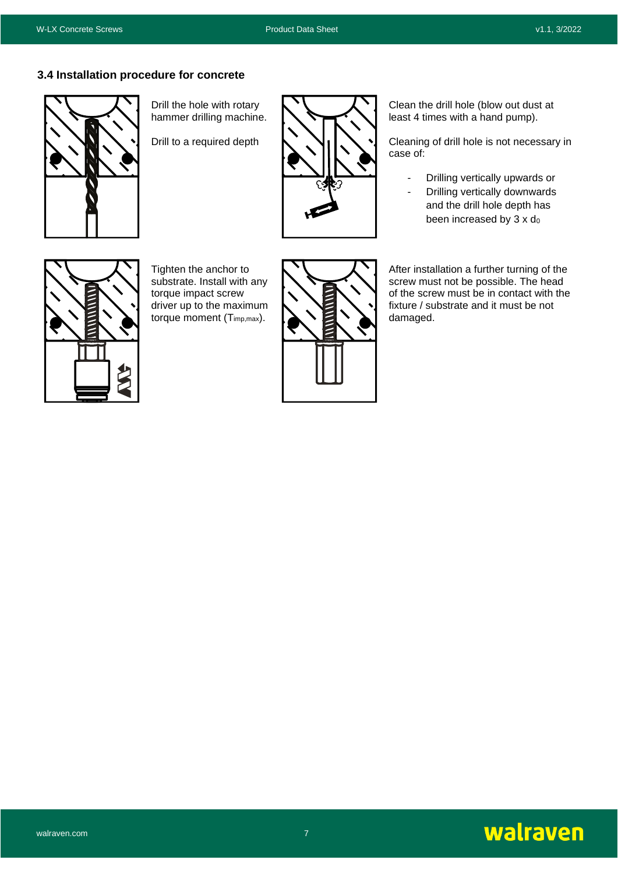### **3.4 Installation procedure for concrete**



Drill the hole with rotary hammer drilling machine.

Drill to a required depth



Clean the drill hole (blow out dust at least 4 times with a hand pump).

Cleaning of drill hole is not necessary in case of:

- Drilling vertically upwards or
- Drilling vertically downwards and the drill hole depth has been increased by  $3 \times d_0$



Tighten the anchor to substrate. Install with any torque impact screw driver up to the maximum torque moment (Timp,max).



After installation a further turning of the screw must not be possible. The head of the screw must be in contact with the fixture / substrate and it must be not damaged.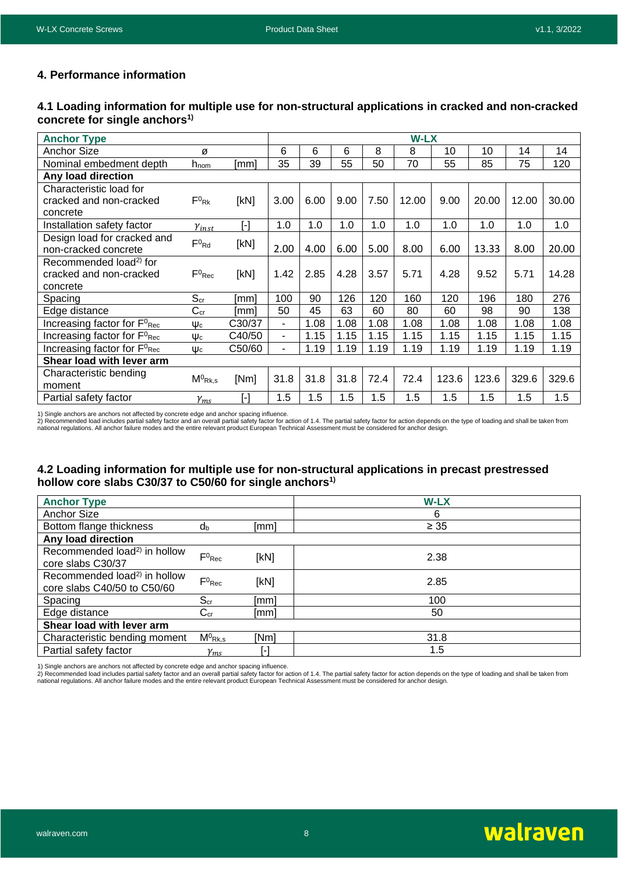### **4. Performance information**

#### **4.1 Loading information for multiple use for non-structural applications in cracked and non-cracked concrete for single anchors1)**

| <b>Anchor Type</b>                                  |                       |                       |                          |      |      |      | <b>W-LX</b> |       |       |       |       |
|-----------------------------------------------------|-----------------------|-----------------------|--------------------------|------|------|------|-------------|-------|-------|-------|-------|
| Anchor Size                                         | Ø                     |                       | 6                        | 6    | 6    | 8    | 8           | 10    | 10    | 14    | 14    |
| Nominal embedment depth                             | $h_{\text{nom}}$      | [mm]                  | 35                       | 39   | 55   | 50   | 70          | 55    | 85    | 75    | 120   |
| Any load direction                                  |                       |                       |                          |      |      |      |             |       |       |       |       |
| Characteristic load for                             |                       |                       |                          |      |      |      |             |       |       |       |       |
| cracked and non-cracked                             | $F^0$ <sub>Rk</sub>   | [kN]                  | 3.00                     | 6.00 | 9.00 | 7.50 | 12.00       | 9.00  | 20.00 | 12.00 | 30.00 |
| concrete                                            |                       |                       |                          |      |      |      |             |       |       |       |       |
| Installation safety factor                          | $\gamma_{inst}$       | [-]                   | 1.0                      | 1.0  | 1.0  | 1.0  | 1.0         | 1.0   | 1.0   | 1.0   | 1.0   |
| Design load for cracked and                         | $F^{0}$ <sub>Rd</sub> | [kN]                  |                          |      |      |      |             |       |       |       |       |
| non-cracked concrete                                |                       |                       | 2.00                     | 4.00 | 6.00 | 5.00 | 8.00        | 6.00  | 13.33 | 8.00  | 20.00 |
| Recommended load <sup>2)</sup> for                  |                       |                       |                          |      |      |      |             |       |       |       |       |
| cracked and non-cracked                             | $F^0$ <sub>Rec</sub>  | [kN]                  | 1.42                     | 2.85 | 4.28 | 3.57 | 5.71        | 4.28  | 9.52  | 5.71  | 14.28 |
| concrete                                            |                       |                       |                          |      |      |      |             |       |       |       |       |
| Spacing                                             | $S_{cr}$              | [mm]                  | 100                      | 90   | 126  | 120  | 160         | 120   | 196   | 180   | 276   |
| Edge distance                                       | $C_{cr}$              | [mm]                  | 50                       | 45   | 63   | 60   | 80          | 60    | 98    | 90    | 138   |
| Increasing factor for $F^0_{\text{Rec}}$            | $\Psi_c$              | C30/37                | ۰.                       | 1.08 | 1.08 | 1.08 | 1.08        | 1.08  | 1.08  | 1.08  | 1.08  |
| Increasing factor for F <sup>0</sup> <sub>Rec</sub> | $\Psi_c$              | C40/50                | $\blacksquare$           | 1.15 | 1.15 | 1.15 | 1.15        | 1.15  | 1.15  | 1.15  | 1.15  |
| Increasing factor for $F^0_{\text{Rec}}$            | $\Psi_c$              | C50/60                | $\overline{\phantom{0}}$ | 1.19 | 1.19 | 1.19 | 1.19        | 1.19  | 1.19  | 1.19  | 1.19  |
| Shear load with lever arm                           |                       |                       |                          |      |      |      |             |       |       |       |       |
| Characteristic bending                              | $M^0$ <sub>Rk,s</sub> | [Nm]                  | 31.8                     | 31.8 | 31.8 | 72.4 | 72.4        | 123.6 | 123.6 | 329.6 | 329.6 |
| moment                                              |                       |                       |                          |      |      |      |             |       |       |       |       |
| Partial safety factor                               | $\gamma_{ms}$         | $\lceil \cdot \rceil$ | 1.5                      | 1.5  | 1.5  | 1.5  | 1.5         | 1.5   | 1.5   | 1.5   | 1.5   |

1) Single anchors are anchors not affected by concrete edge and anchor spacing influence.

2) Recommended load includes partial safety factor and an overall partial safety factor for action of 1.4. The partial safety factor for action depends on the type of loading and shall be taken from<br>national regulations. A

#### **4.2 Loading information for multiple use for non-structural applications in precast prestressed hollow core slabs C30/37 to C50/60 for single anchors1)**

| <b>Anchor Type</b>                                                      |                       |      | <b>W-LX</b> |
|-------------------------------------------------------------------------|-----------------------|------|-------------|
| Anchor Size                                                             |                       |      | 6           |
| Bottom flange thickness                                                 | dь                    | [mm] | $\geq 35$   |
| Any load direction                                                      |                       |      |             |
| Recommended load <sup>2)</sup> in hollow<br>core slabs C30/37           | $F^0$ <sub>Rec</sub>  | [kN] | 2.38        |
| Recommended load <sup>2)</sup> in hollow<br>core slabs C40/50 to C50/60 | $F^0$ <sub>Rec</sub>  | [kN] | 2.85        |
| Spacing                                                                 | S <sub>cr</sub>       | [mm] | 100         |
| Edge distance                                                           | $C_{cr}$              | [mm] | 50          |
| Shear load with lever arm                                               |                       |      |             |
| Characteristic bending moment                                           | $M^0$ <sub>Rk,s</sub> | [Nm] | 31.8        |
| Partial safety factor                                                   | $\mathcal{V}_{ms}$    |      | 1.5         |

1) Single anchors are anchors not affected by concrete edge and anchor spacing influence.

2) Recommended load includes partial safety factor and an overall partial safety factor for action of 1.4. The partial safety factor for action depends on the type of loading and shall be taken from<br>national regulations. A